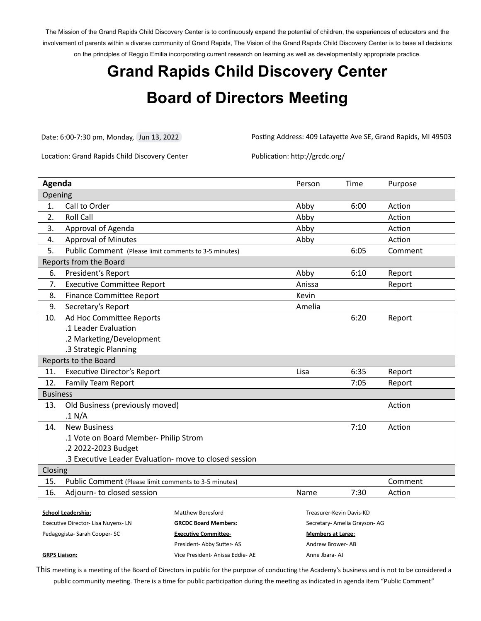The Mission of the Grand Rapids Child Discovery Center is to continuously expand the potential of children, the experiences of educators and the involvement of parents within a diverse community of Grand Rapids, The Vision of the Grand Rapids Child Discovery Center is to base all decisions on the principles of Reggio Emilia incorporating current research on learning as well as developmentally appropriate practice.

## **Grand Rapids Child Discovery Center Board of Directors Meeting**

Date: 6:00-7:30 pm, Monday, Jun 13, 2022 Posting Address: 409 Lafayette Ave SE, Grand Rapids, MI 49503

Location: Grand Rapids Child Discovery Center Publication: http://grcdc.org/

| Agenda                                                     |                                                              |                             | Person                       | Time    | Purpose |
|------------------------------------------------------------|--------------------------------------------------------------|-----------------------------|------------------------------|---------|---------|
| Opening                                                    |                                                              |                             |                              |         |         |
| 1.                                                         | Call to Order                                                |                             | Abby                         | 6:00    | Action  |
| 2.                                                         | <b>Roll Call</b>                                             |                             | Abby                         |         | Action  |
| 3.                                                         | Approval of Agenda                                           |                             | Abby                         |         | Action  |
| 4.                                                         | <b>Approval of Minutes</b>                                   |                             | Abby                         |         | Action  |
| 5.                                                         | Public Comment (Please limit comments to 3-5 minutes)        |                             | 6:05                         | Comment |         |
| Reports from the Board                                     |                                                              |                             |                              |         |         |
| 6.                                                         | President's Report                                           |                             | Abby                         | 6:10    | Report  |
| 7.                                                         | <b>Executive Committee Report</b>                            |                             | Anissa                       |         | Report  |
| 8.                                                         | <b>Finance Committee Report</b>                              |                             | Kevin                        |         |         |
| 9.                                                         | Secretary's Report                                           | Amelia                      |                              |         |         |
| 10.                                                        | Ad Hoc Committee Reports                                     |                             |                              | 6:20    | Report  |
|                                                            | .1 Leader Evaluation                                         |                             |                              |         |         |
|                                                            | .2 Marketing/Development                                     |                             |                              |         |         |
|                                                            | .3 Strategic Planning                                        |                             |                              |         |         |
| Reports to the Board                                       |                                                              |                             |                              |         |         |
| 11.                                                        | <b>Executive Director's Report</b>                           | Lisa                        | 6:35                         | Report  |         |
| 12.                                                        | Family Team Report                                           |                             | 7:05                         | Report  |         |
| <b>Business</b>                                            |                                                              |                             |                              |         |         |
| 13.                                                        | Old Business (previously moved)                              |                             |                              |         | Action  |
|                                                            | .1 N/A                                                       |                             |                              |         |         |
| 14.                                                        | <b>New Business</b>                                          |                             |                              | 7:10    | Action  |
|                                                            | .1 Vote on Board Member- Philip Strom                        |                             |                              |         |         |
|                                                            | .2 2022-2023 Budget                                          |                             |                              |         |         |
| .3 Executive Leader Evaluation- move to closed session     |                                                              |                             |                              |         |         |
| Closing                                                    |                                                              |                             |                              |         |         |
|                                                            | 15.<br>Public Comment (Please limit comments to 3-5 minutes) |                             |                              |         | Comment |
| 16.                                                        | Adjourn- to closed session                                   |                             | Name                         | 7:30    | Action  |
| <b>Matthew Beresford</b><br><b>School Leadership:</b>      |                                                              |                             | Treasurer-Kevin Davis-KD     |         |         |
| Executive Director- Lisa Nuyens- LN                        |                                                              | <b>GRCDC Board Members:</b> | Secretary- Amelia Grayson-AG |         |         |
| Pedagogista-Sarah Cooper-SC<br><b>Executive Committee-</b> |                                                              | <b>Members at Large:</b>    |                              |         |         |
|                                                            |                                                              | President-Abby Sutter-AS    | Andrew Brower-AB             |         |         |

## **GRPS Liaison:**

This meeting is a meeting of the Board of Directors in public for the purpose of conducting the Academy's business and is not to be considered a public community meeting. There is a time for public participation during the meeting as indicated in agenda item "Public Comment"

Anne Jbara- AJ

Vice President- Anissa Eddie- AE